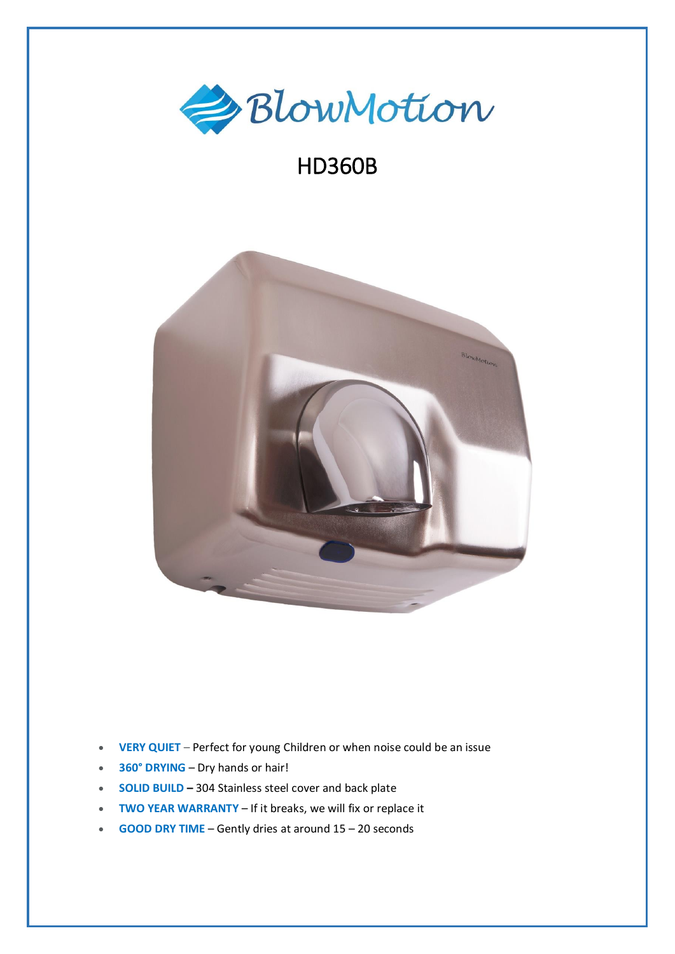

## HD360B



- **VERY QUIET** Perfect for young Children or when noise could be an issue
- **360° DRYING** Dry hands or hair!
- **SOLID BUILD –** 304 Stainless steel cover and back plate
- **TWO YEAR WARRANTY** If it breaks, we will fix or replace it
- **GOOD DRY TIME** Gently dries at around 15 20 seconds